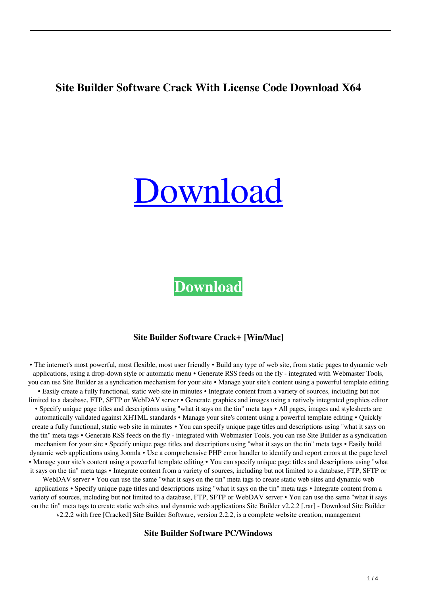# **Site Builder Software Crack With License Code Download X64**



**[Download](http://evacdir.com/alfresco/apuseni/lowbush/ZG93bmxvYWR8c0k2TTNZd1lYeDhNVFkxTkRVeU1qRXhNSHg4TWpVNE4zeDhLRTBwSUVobGNtOXJkU0JiUm1GemRDQkhSVTVk?dissipating=U2l0ZSBCdWlsZGVyIFNvZnR3YXJlU2l.grapevine.destructions)**

#### **Site Builder Software Crack+ [Win/Mac]**

• The internet's most powerful, most flexible, most user friendly • Build any type of web site, from static pages to dynamic web applications, using a drop-down style or automatic menu • Generate RSS feeds on the fly - integrated with Webmaster Tools, you can use Site Builder as a syndication mechanism for your site • Manage your site's content using a powerful template editing • Easily create a fully functional, static web site in minutes • Integrate content from a variety of sources, including but not limited to a database, FTP, SFTP or WebDAV server • Generate graphics and images using a natively integrated graphics editor • Specify unique page titles and descriptions using "what it says on the tin" meta tags • All pages, images and stylesheets are automatically validated against XHTML standards • Manage your site's content using a powerful template editing • Quickly create a fully functional, static web site in minutes • You can specify unique page titles and descriptions using "what it says on the tin" meta tags • Generate RSS feeds on the fly - integrated with Webmaster Tools, you can use Site Builder as a syndication mechanism for your site • Specify unique page titles and descriptions using "what it says on the tin" meta tags • Easily build dynamic web applications using Joomla • Use a comprehensive PHP error handler to identify and report errors at the page level • Manage your site's content using a powerful template editing • You can specify unique page titles and descriptions using "what it says on the tin" meta tags • Integrate content from a variety of sources, including but not limited to a database, FTP, SFTP or WebDAV server • You can use the same "what it says on the tin" meta tags to create static web sites and dynamic web applications • Specify unique page titles and descriptions using "what it says on the tin" meta tags • Integrate content from a variety of sources, including but not limited to a database, FTP, SFTP or WebDAV server • You can use the same "what it says on the tin" meta tags to create static web sites and dynamic web applications Site Builder v2.2.2 [.rar] - Download Site Builder v2.2.2 with free [Cracked] Site Builder Software, version 2.2.2, is a complete website creation, management

**Site Builder Software PC/Windows**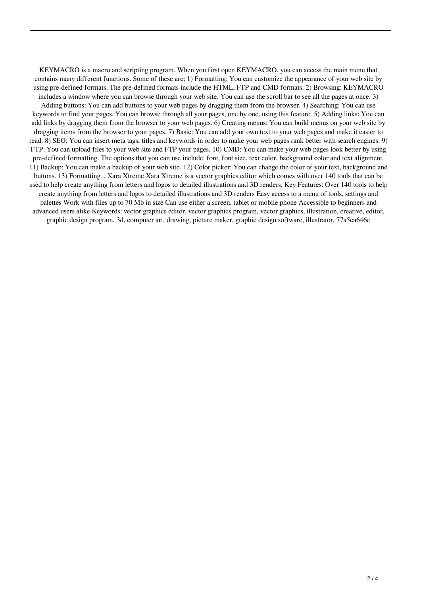KEYMACRO is a macro and scripting program. When you first open KEYMACRO, you can access the main menu that contains many different functions. Some of these are: 1) Formatting: You can customize the appearance of your web site by using pre-defined formats. The pre-defined formats include the HTML, FTP and CMD formats. 2) Browsing: KEYMACRO includes a window where you can browse through your web site. You can use the scroll bar to see all the pages at once. 3) Adding buttons: You can add buttons to your web pages by dragging them from the browser. 4) Searching: You can use keywords to find your pages. You can browse through all your pages, one by one, using this feature. 5) Adding links: You can add links by dragging them from the browser to your web pages. 6) Creating menus: You can build menus on your web site by dragging items from the browser to your pages. 7) Basic: You can add your own text to your web pages and make it easier to read. 8) SEO: You can insert meta tags, titles and keywords in order to make your web pages rank better with search engines. 9) FTP: You can upload files to your web site and FTP your pages. 10) CMD: You can make your web pages look better by using pre-defined formatting. The options that you can use include: font, font size, text color, background color and text alignment. 11) Backup: You can make a backup of your web site. 12) Color picker: You can change the color of your text, background and buttons. 13) Formatting... Xara Xtreme Xara Xtreme is a vector graphics editor which comes with over 140 tools that can be used to help create anything from letters and logos to detailed illustrations and 3D renders. Key Features: Over 140 tools to help create anything from letters and logos to detailed illustrations and 3D renders Easy access to a menu of tools, settings and palettes Work with files up to 70 Mb in size Can use either a screen, tablet or mobile phone Accessible to beginners and advanced users alike Keywords: vector graphics editor, vector graphics program, vector graphics, illustration, creative, editor, graphic design program, 3d, computer art, drawing, picture maker, graphic design software, illustrator, 77a5ca646e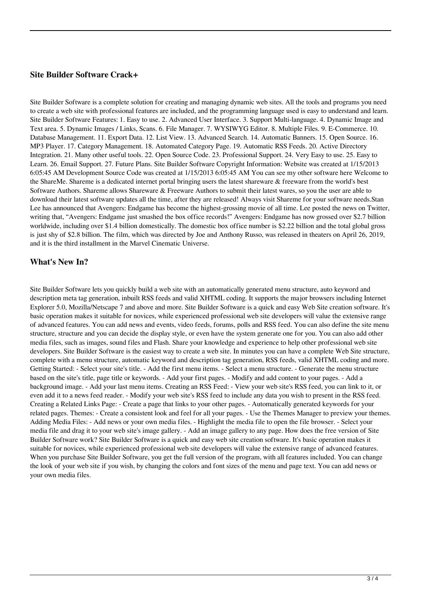### **Site Builder Software Crack+**

Site Builder Software is a complete solution for creating and managing dynamic web sites. All the tools and programs you need to create a web site with professional features are included, and the programming language used is easy to understand and learn. Site Builder Software Features: 1. Easy to use. 2. Advanced User Interface. 3. Support Multi-language. 4. Dynamic Image and Text area. 5. Dynamic Images / Links, Scans. 6. File Manager. 7. WYSIWYG Editor. 8. Multiple Files. 9. E-Commerce. 10. Database Management. 11. Export Data. 12. List View. 13. Advanced Search. 14. Automatic Banners. 15. Open Source. 16. MP3 Player. 17. Category Management. 18. Automated Category Page. 19. Automatic RSS Feeds. 20. Active Directory Integration. 21. Many other useful tools. 22. Open Source Code. 23. Professional Support. 24. Very Easy to use. 25. Easy to Learn. 26. Email Support. 27. Future Plans. Site Builder Software Copyright Information: Website was created at 1/15/2013 6:05:45 AM Development Source Code was created at 1/15/2013 6:05:45 AM You can see my other software here Welcome to the ShareMe. Shareme is a dedicated internet portal bringing users the latest shareware & freeware from the world's best Software Authors. Shareme allows Shareware & Freeware Authors to submit their latest wares, so you the user are able to download their latest software updates all the time, after they are released! Always visit Shareme for your software needs.Stan Lee has announced that Avengers: Endgame has become the highest-grossing movie of all time. Lee posted the news on Twitter, writing that, "Avengers: Endgame just smashed the box office records!" Avengers: Endgame has now grossed over \$2.7 billion worldwide, including over \$1.4 billion domestically. The domestic box office number is \$2.22 billion and the total global gross is just shy of \$2.8 billion. The film, which was directed by Joe and Anthony Russo, was released in theaters on April 26, 2019, and it is the third installment in the Marvel Cinematic Universe.

## **What's New In?**

Site Builder Software lets you quickly build a web site with an automatically generated menu structure, auto keyword and description meta tag generation, inbuilt RSS feeds and valid XHTML coding. It supports the major browsers including Internet Explorer 5.0, Mozilla/Netscape 7 and above and more. Site Builder Software is a quick and easy Web Site creation software. It's basic operation makes it suitable for novices, while experienced professional web site developers will value the extensive range of advanced features. You can add news and events, video feeds, forums, polls and RSS feed. You can also define the site menu structure, structure and you can decide the display style, or even have the system generate one for you. You can also add other media files, such as images, sound files and Flash. Share your knowledge and experience to help other professional web site developers. Site Builder Software is the easiest way to create a web site. In minutes you can have a complete Web Site structure, complete with a menu structure, automatic keyword and description tag generation, RSS feeds, valid XHTML coding and more. Getting Started: - Select your site's title. - Add the first menu items. - Select a menu structure. - Generate the menu structure based on the site's title, page title or keywords. - Add your first pages. - Modify and add content to your pages. - Add a background image. - Add your last menu items. Creating an RSS Feed: - View your web site's RSS feed, you can link to it, or even add it to a news feed reader. - Modify your web site's RSS feed to include any data you wish to present in the RSS feed. Creating a Related Links Page: - Create a page that links to your other pages. - Automatically generated keywords for your related pages. Themes: - Create a consistent look and feel for all your pages. - Use the Themes Manager to preview your themes. Adding Media Files: - Add news or your own media files. - Highlight the media file to open the file browser. - Select your media file and drag it to your web site's image gallery. - Add an image gallery to any page. How does the free version of Site Builder Software work? Site Builder Software is a quick and easy web site creation software. It's basic operation makes it suitable for novices, while experienced professional web site developers will value the extensive range of advanced features. When you purchase Site Builder Software, you get the full version of the program, with all features included. You can change the look of your web site if you wish, by changing the colors and font sizes of the menu and page text. You can add news or your own media files.